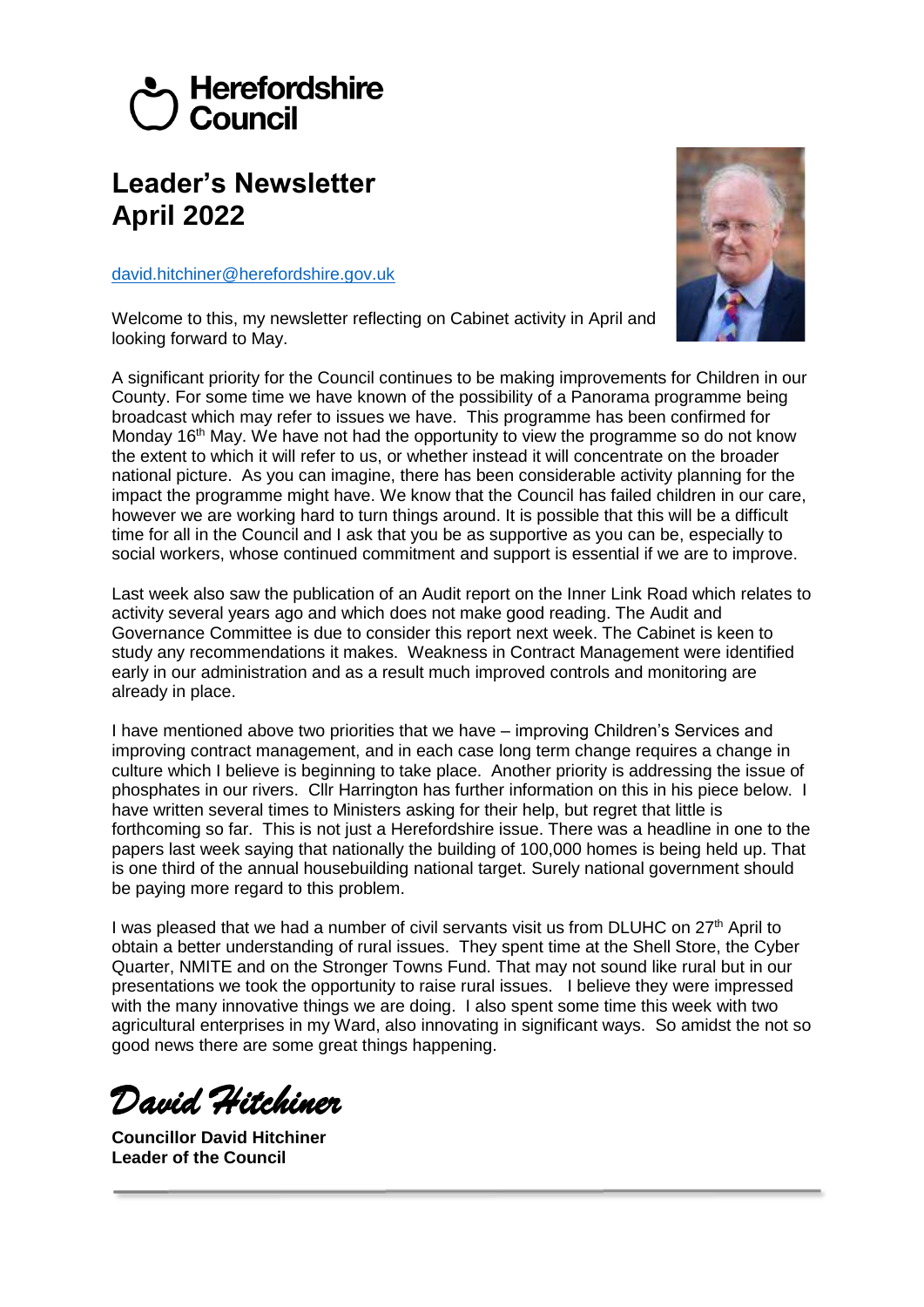# Herefordshire  $\overline{\prime}$  Council

# **Leader's Newsletter April 2022**

[david.hitchiner@herefordshire.gov.uk](mailto:david.hitchiner@herefordshire.gov.uk)

Welcome to this, my newsletter reflecting on Cabinet activity in April and looking forward to May.

A significant priority for the Council continues to be making improvements for Children in our County. For some time we have known of the possibility of a Panorama programme being broadcast which may refer to issues we have. This programme has been confirmed for Monday 16<sup>th</sup> May. We have not had the opportunity to view the programme so do not know the extent to which it will refer to us, or whether instead it will concentrate on the broader national picture. As you can imagine, there has been considerable activity planning for the impact the programme might have. We know that the Council has failed children in our care, however we are working hard to turn things around. It is possible that this will be a difficult time for all in the Council and I ask that you be as supportive as you can be, especially to social workers, whose continued commitment and support is essential if we are to improve.

Last week also saw the publication of an Audit report on the Inner Link Road which relates to activity several years ago and which does not make good reading. The Audit and Governance Committee is due to consider this report next week. The Cabinet is keen to study any recommendations it makes. Weakness in Contract Management were identified early in our administration and as a result much improved controls and monitoring are already in place.

I have mentioned above two priorities that we have – improving Children's Services and improving contract management, and in each case long term change requires a change in culture which I believe is beginning to take place. Another priority is addressing the issue of phosphates in our rivers. Cllr Harrington has further information on this in his piece below. I have written several times to Ministers asking for their help, but regret that little is forthcoming so far. This is not just a Herefordshire issue. There was a headline in one to the papers last week saying that nationally the building of 100,000 homes is being held up. That is one third of the annual housebuilding national target. Surely national government should be paying more regard to this problem.

I was pleased that we had a number of civil servants visit us from DLUHC on  $27<sup>th</sup>$  April to obtain a better understanding of rural issues. They spent time at the Shell Store, the Cyber Quarter, NMITE and on the Stronger Towns Fund. That may not sound like rural but in our presentations we took the opportunity to raise rural issues. I believe they were impressed with the many innovative things we are doing. I also spent some time this week with two agricultural enterprises in my Ward, also innovating in significant ways. So amidst the not so good news there are some great things happening.

*David Hitchiner*

**Councillor David Hitchiner Leader of the Council**

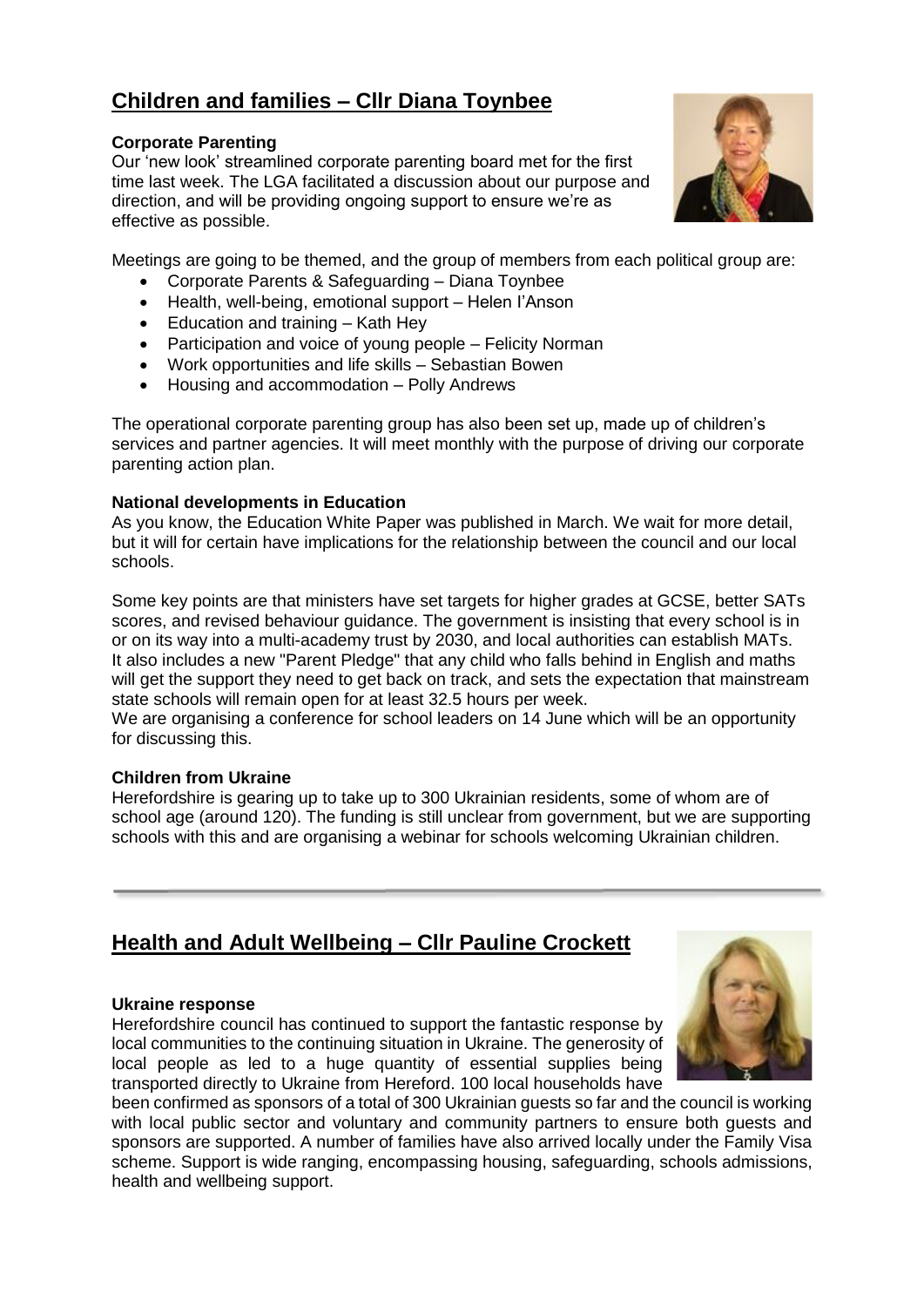# **Children and families – Cllr Diana Toynbee**

#### **Corporate Parenting**

Our 'new look' streamlined corporate parenting board met for the first time last week. The LGA facilitated a discussion about our purpose and direction, and will be providing ongoing support to ensure we're as effective as possible.



Meetings are going to be themed, and the group of members from each political group are:

- Corporate Parents & Safeguarding Diana Toynbee
- Health, well-being, emotional support Helen l'Anson
- Education and training Kath Hey
- Participation and voice of young people Felicity Norman
- Work opportunities and life skills Sebastian Bowen
- Housing and accommodation Polly Andrews

The operational corporate parenting group has also been set up, made up of children's services and partner agencies. It will meet monthly with the purpose of driving our corporate parenting action plan.

#### **National developments in Education**

As you know, the Education White Paper was published in March. We wait for more detail, but it will for certain have implications for the relationship between the council and our local schools.

Some key points are that ministers have set targets for higher grades at GCSE, better SATs scores, and revised behaviour guidance. The government is insisting that every school is in or on its way into a multi-academy trust by 2030, and local authorities can establish MATs. It also includes a new "Parent Pledge" that any child who falls behind in English and maths will get the support they need to get back on track, and sets the expectation that mainstream state schools will remain open for at least 32.5 hours per week.

We are organising a conference for school leaders on 14 June which will be an opportunity for discussing this.

#### **Children from Ukraine**

Herefordshire is gearing up to take up to 300 Ukrainian residents, some of whom are of school age (around 120). The funding is still unclear from government, but we are supporting schools with this and are organising a webinar for schools welcoming Ukrainian children.

# **Health and Adult Wellbeing – Cllr Pauline Crockett**

#### **Ukraine response**

Herefordshire council has continued to support the fantastic response by local communities to the continuing situation in Ukraine. The generosity of local people as led to a huge quantity of essential supplies being transported directly to Ukraine from Hereford. 100 local households have



been confirmed as sponsors of a total of 300 Ukrainian guests so far and the council is working with local public sector and voluntary and community partners to ensure both guests and sponsors are supported. A number of families have also arrived locally under the Family Visa scheme. Support is wide ranging, encompassing housing, safeguarding, schools admissions, health and wellbeing support.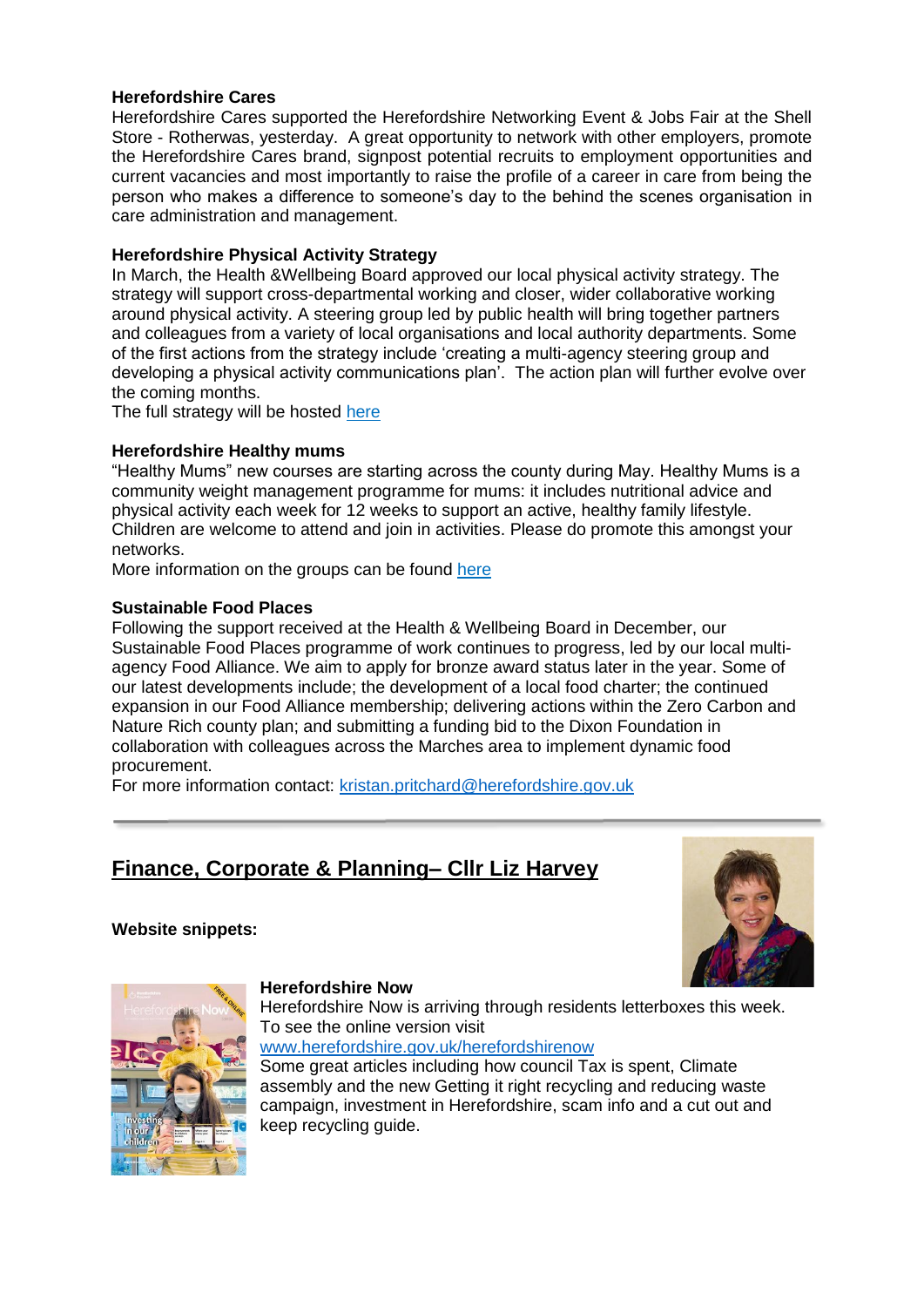#### **Herefordshire Cares**

Herefordshire Cares supported the Herefordshire Networking Event & Jobs Fair at the Shell Store - Rotherwas, yesterday. A great opportunity to network with other employers, promote the Herefordshire Cares brand, signpost potential recruits to employment opportunities and current vacancies and most importantly to raise the profile of a career in care from being the person who makes a difference to someone's day to the behind the scenes organisation in care administration and management.

#### **Herefordshire Physical Activity Strategy**

In March, the Health &Wellbeing Board approved our local physical activity strategy. The strategy will support cross-departmental working and closer, wider collaborative working around physical activity. A steering group led by public health will bring together partners and colleagues from a variety of local organisations and local authority departments. Some of the first actions from the strategy include 'creating a multi-agency steering group and developing a physical activity communications plan'. The action plan will further evolve over the coming months.

The full strategy will be hosted [here](https://www.herefordshire.gov.uk/directory/9/council-policies-strategies-and-procedures/category/75)

#### **Herefordshire Healthy mums**

"Healthy Mums" new courses are starting across the county during May. Healthy Mums is a community weight management programme for mums: it includes nutritional advice and physical activity each week for 12 weeks to support an active, healthy family lifestyle. Children are welcome to attend and join in activities. Please do promote this amongst your networks.

More information on the groups can be found [here](https://www.talkcommunitydirectory.org/directory-search/services/?id=e1ddd068-c1c5-45a6-90e2-adaa011c909f)

#### **Sustainable Food Places**

Following the support received at the Health & Wellbeing Board in December, our Sustainable Food Places programme of work continues to progress, led by our local multiagency Food Alliance. We aim to apply for bronze award status later in the year. Some of our latest developments include; the development of a local food charter; the continued expansion in our Food Alliance membership; delivering actions within the Zero Carbon and Nature Rich county plan; and submitting a funding bid to the Dixon Foundation in collaboration with colleagues across the Marches area to implement dynamic food procurement.

For more information contact: [kristan.pritchard@herefordshire.gov.uk](mailto:kristan.pritchard@herefordshire.gov.uk)

# **Finance, Corporate & Planning– Cllr Liz Harvey**

#### **Website snippets:**





#### **Herefordshire Now**

Herefordshire Now is arriving through residents letterboxes this week. To see the online version visit [www.herefordshire.gov.uk/herefordshirenow](http://www.herefordshire.gov.uk/herefordshirenow)

Some great articles including how council Tax is spent, Climate assembly and the new Getting it right recycling and reducing waste campaign, investment in Herefordshire, scam info and a cut out and keep recycling guide.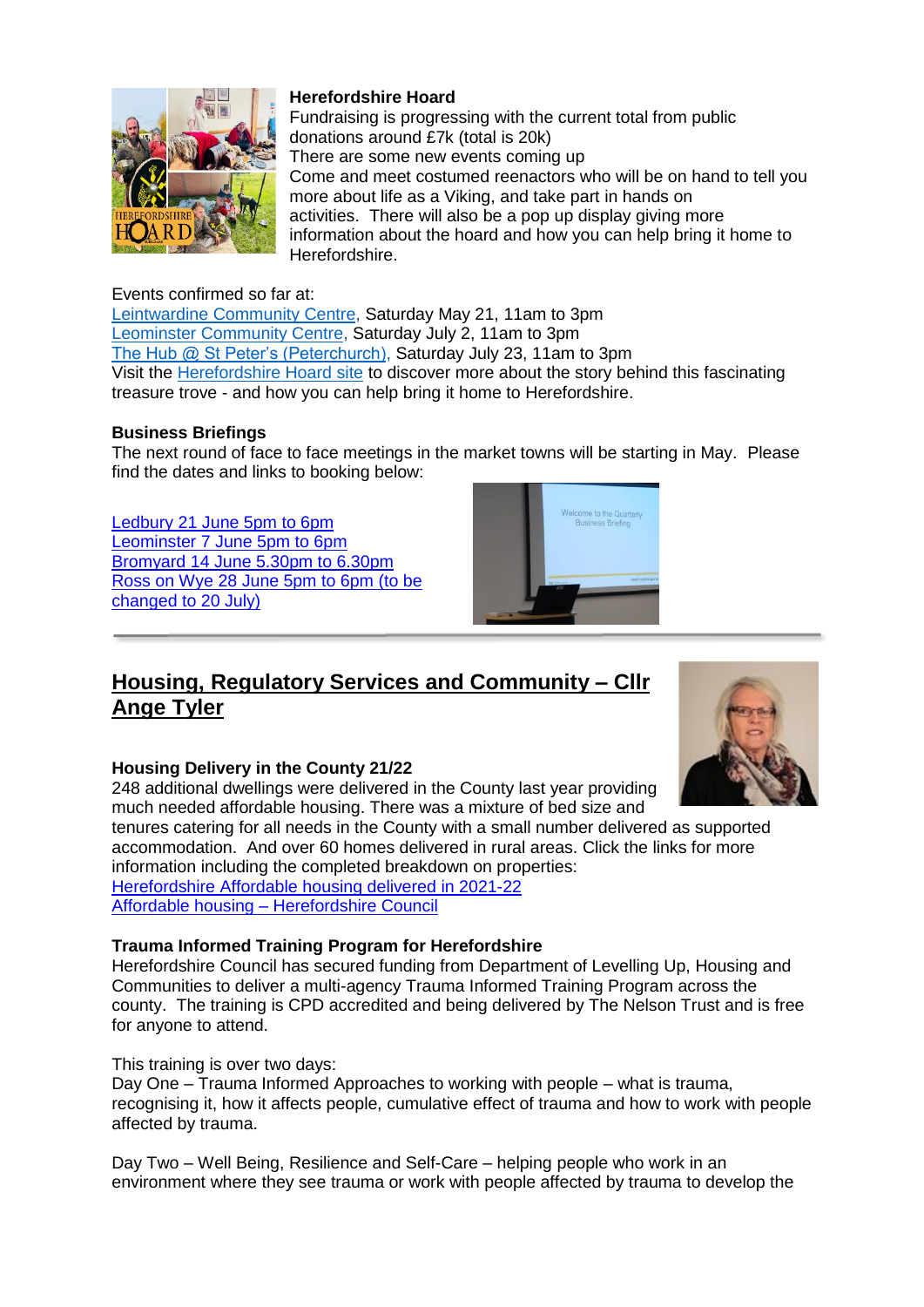

#### Events confirmed so far at:

[Leintwardine Community Centre,](https://goo.gl/maps/dhVuZwV4VidqZU4u7) Saturday May 21, 11am to 3pm [Leominster Community Centre,](https://goo.gl/maps/agsTHrSt3oCNjgbx5) Saturday July 2, 11am to 3pm [The Hub @ St Peter's \(Peterchurch\),](https://goo.gl/maps/mntQMPdS9CKoJh4s8) Saturday July 23, 11am to 3pm Visit the [Herefordshire Hoard site](http://www.herefordshirehoard.org/) to discover more about the story behind this fascinating treasure trove - and how you can help bring it home to Herefordshire.

Fundraising is progressing with the current total from public

more about life as a Viking, and take part in hands on activities. There will also be a pop up display giving more

Come and meet costumed reenactors who will be on hand to tell you

information about the hoard and how you can help bring it home to

#### **Business Briefings**

The next round of face to face meetings in the market towns will be starting in May. Please find the dates and links to booking below:

[Ledbury 21 June 5pm to 6pm](https://www.eventbrite.co.uk/e/ledbury-business-summit-tickets-309257626887?aff=erelpanelorg) Leominster 7 [June 5pm to 6pm](https://www.eventbrite.co.uk/e/leominster-business-summit-tickets-311022425447?aff=erelpanelorg) Bromyard 14 [June 5.30pm to 6.30pm](https://www.eventbrite.co.uk/e/bromyard-business-summit-tickets-311023127547) Ross on Wye 28 [June 5pm to 6pm](http://https/www.eventbrite.co.uk/e/ross-on-wye-business-summit-tickets-311023749407) (to be changed to 20 July)

# ne to the C

### **Housing, Regulatory Services and Community – Cllr Ange Tyler**

**Herefordshire Hoard**

Herefordshire.

donations around £7k (total is 20k) There are some new events coming up



#### **Housing Delivery in the County 21/22**

248 additional dwellings were delivered in the County last year providing much needed affordable housing. There was a mixture of bed size and

tenures catering for all needs in the County with a small number delivered as supported accommodation. And over 60 homes delivered in rural areas. Click the links for more information including the completed breakdown on properties: [Herefordshire Affordable housing delivered in 2021-22](https://www.herefordshire.gov.uk/downloads/file/22397/affordable-housing-delivered-2021-22)  Affordable housing – [Herefordshire Council](https://www.herefordshire.gov.uk/housing-3/affordable-housing/3)

#### **Trauma Informed Training Program for Herefordshire**

Herefordshire Council has secured funding from Department of Levelling Up, Housing and Communities to deliver a multi-agency Trauma Informed Training Program across the county. The training is CPD accredited and being delivered by The Nelson Trust and is free for anyone to attend.

#### This training is over two days:

Day One – Trauma Informed Approaches to working with people – what is trauma, recognising it, how it affects people, cumulative effect of trauma and how to work with people affected by trauma.

Day Two – Well Being, Resilience and Self-Care – helping people who work in an environment where they see trauma or work with people affected by trauma to develop the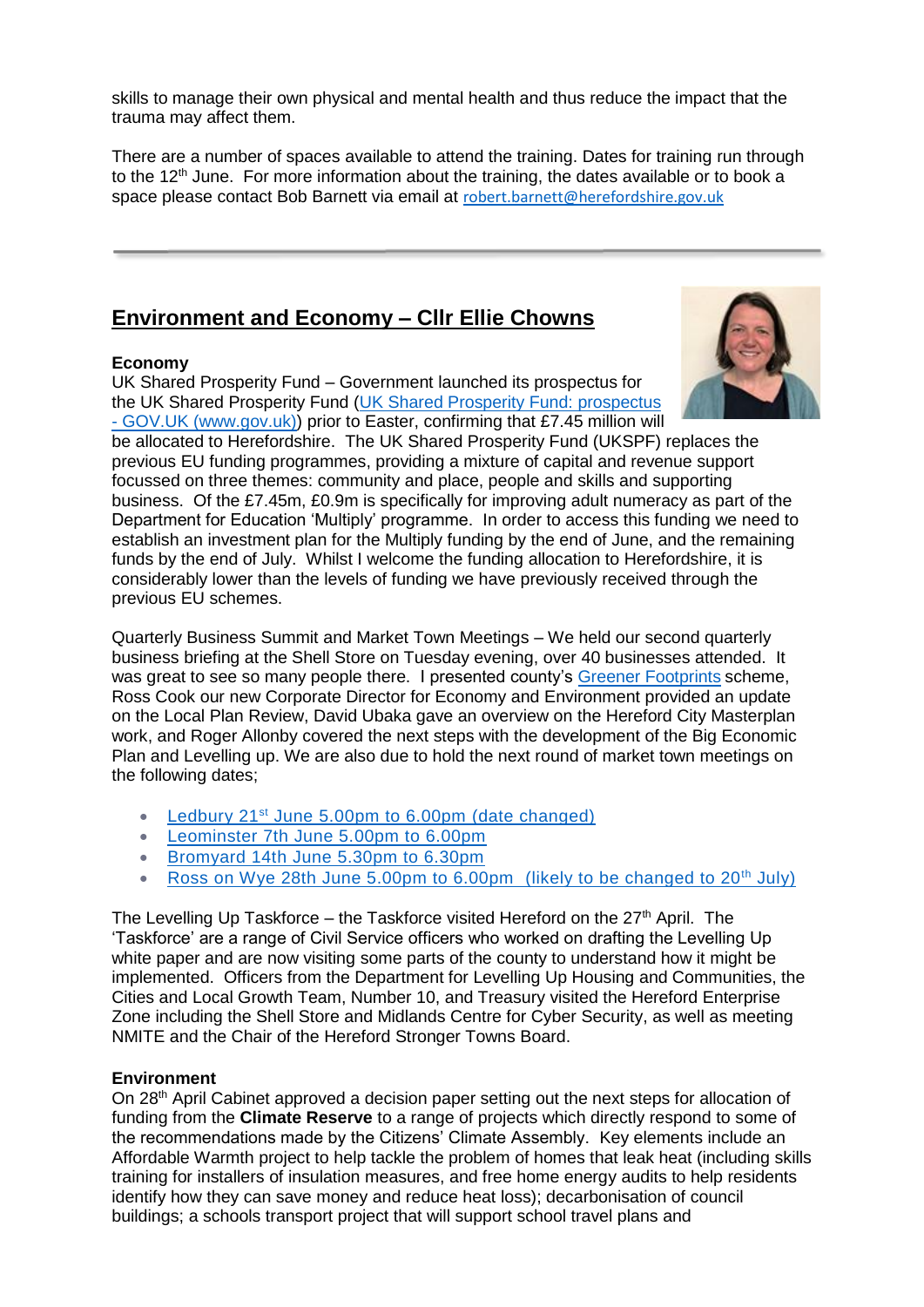skills to manage their own physical and mental health and thus reduce the impact that the trauma may affect them.

There are a number of spaces available to attend the training. Dates for training run through to the 12<sup>th</sup> June. For more information about the training, the dates available or to book a space please contact Bob Barnett via email at [robert.barnett@herefordshire.gov.uk](mailto:robert.barnett@herefordshire.gov.uk)

# **Environment and Economy – Cllr Ellie Chowns**

#### **Economy**

UK Shared Prosperity Fund – Government launched its prospectus for the UK Shared Prosperity Fund [\(UK Shared Prosperity Fund: prospectus](https://www.gov.uk/government/publications/uk-shared-prosperity-fund-prospectus) 



- [GOV.UK \(www.gov.uk\)\)](https://www.gov.uk/government/publications/uk-shared-prosperity-fund-prospectus) prior to Easter, confirming that £7.45 million will be allocated to Herefordshire. The UK Shared Prosperity Fund (UKSPF) replaces the previous EU funding programmes, providing a mixture of capital and revenue support focussed on three themes: community and place, people and skills and supporting business. Of the £7.45m, £0.9m is specifically for improving adult numeracy as part of the Department for Education 'Multiply' programme. In order to access this funding we need to establish an investment plan for the Multiply funding by the end of June, and the remaining funds by the end of July. Whilst I welcome the funding allocation to Herefordshire, it is considerably lower than the levels of funding we have previously received through the previous EU schemes.

Quarterly Business Summit and Market Town Meetings – We held our second quarterly business briefing at the Shell Store on Tuesday evening, over 40 businesses attended. It was great to see so many people there. I presented county's [Greener Footprints](https://greenerfootprints.co.uk/) scheme, Ross Cook our new Corporate Director for Economy and Environment provided an update on the Local Plan Review, David Ubaka gave an overview on the Hereford City Masterplan work, and Roger Allonby covered the next steps with the development of the Big Economic Plan and Levelling up. We are also due to hold the next round of market town meetings on the following dates;

- **Ledbury 21st [June 5.00pm to 6.00pm](https://www.eventbrite.co.uk/e/ledbury-business-summit-quarterly-briefing-tickets-309257626887?aff=erelpanelorg) (date changed)**
- **[Leominster 7th June 5.00pm to 6.00pm](https://www.eventbrite.co.uk/e/leominster-business-summit-quarterly-briefing-tickets-311022425447?aff=erelpanelorg)**
- [Bromyard 14th June 5.30pm to 6.30pm](https://www.eventbrite.co.uk/e/bromyard-business-summit-quarterly-briefing-tickets-311023127547)
- [Ross on Wye 28th June 5.00pm to 6.00pm](https://www.eventbrite.co.uk/e/ross-on-wye-business-summit-quarterly-briefing-tickets-311023749407) (likely to be changed to  $20<sup>th</sup>$  July)

The Levelling Up Taskforce – the Taskforce visited Hereford on the  $27<sup>th</sup>$  April. The 'Taskforce' are a range of Civil Service officers who worked on drafting the Levelling Up white paper and are now visiting some parts of the county to understand how it might be implemented. Officers from the Department for Levelling Up Housing and Communities, the Cities and Local Growth Team, Number 10, and Treasury visited the Hereford Enterprise Zone including the Shell Store and Midlands Centre for Cyber Security, as well as meeting NMITE and the Chair of the Hereford Stronger Towns Board.

#### **Environment**

On 28<sup>th</sup> April Cabinet approved a decision paper setting out the next steps for allocation of funding from the **Climate Reserve** to a range of projects which directly respond to some of the recommendations made by the Citizens' Climate Assembly. Key elements include an Affordable Warmth project to help tackle the problem of homes that leak heat (including skills training for installers of insulation measures, and free home energy audits to help residents identify how they can save money and reduce heat loss); decarbonisation of council buildings; a schools transport project that will support school travel plans and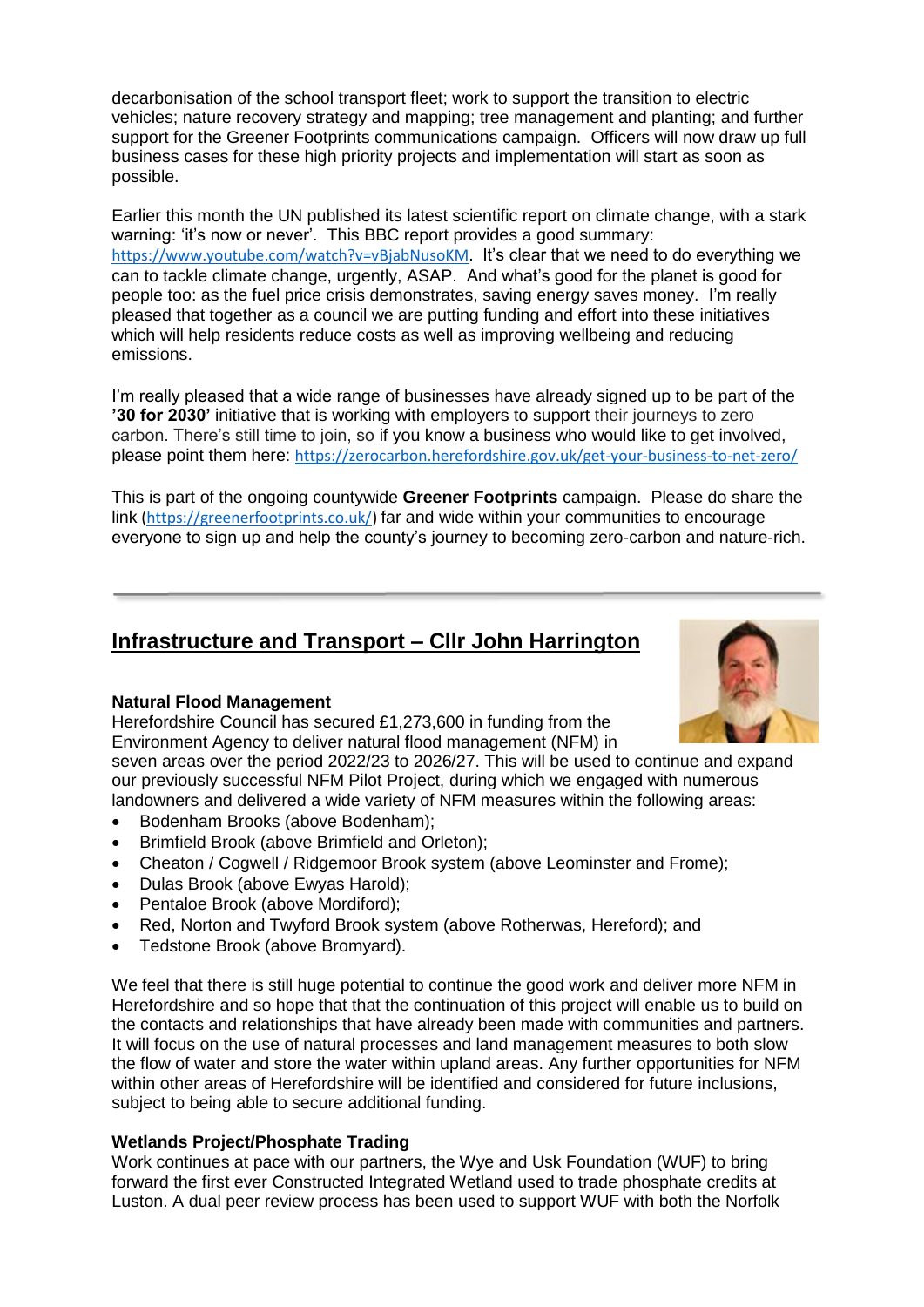decarbonisation of the school transport fleet; work to support the transition to electric vehicles; nature recovery strategy and mapping; tree management and planting; and further support for the Greener Footprints communications campaign. Officers will now draw up full business cases for these high priority projects and implementation will start as soon as possible.

Earlier this month the UN published its latest scientific report on climate change, with a stark warning: 'it's now or never'. This BBC report provides a good summary: [https://www.youtube.com/watch?v=vBjabNusoKM.](https://www.youtube.com/watch?v=vBjabNusoKM) It's clear that we need to do everything we can to tackle climate change, urgently, ASAP. And what's good for the planet is good for people too: as the fuel price crisis demonstrates, saving energy saves money. I'm really pleased that together as a council we are putting funding and effort into these initiatives which will help residents reduce costs as well as improving wellbeing and reducing emissions.

I'm really pleased that a wide range of businesses have already signed up to be part of the **'30 for 2030'** initiative that is working with employers to support their journeys to zero carbon. There's still time to join, so if you know a business who would like to get involved, please point them here: <https://zerocarbon.herefordshire.gov.uk/get-your-business-to-net-zero/>

This is part of the ongoing countywide **Greener Footprints** campaign. Please do share the link [\(https://greenerfootprints.co.uk/\)](https://greenerfootprints.co.uk/) far and wide within your communities to encourage everyone to sign up and help the county's journey to becoming zero-carbon and nature-rich.

# **Infrastructure and Transport – Cllr John Harrington**



#### **Natural Flood Management**

Herefordshire Council has secured £1,273,600 in funding from the Environment Agency to deliver natural flood management (NFM) in

seven areas over the period 2022/23 to 2026/27. This will be used to continue and expand our previously successful NFM Pilot Project, during which we engaged with numerous landowners and delivered a wide variety of NFM measures within the following areas:

- Bodenham Brooks (above Bodenham);
- Brimfield Brook (above Brimfield and Orleton);
- Cheaton / Cogwell / Ridgemoor Brook system (above Leominster and Frome);
- Dulas Brook (above Ewyas Harold);
- Pentaloe Brook (above Mordiford);
- Red, Norton and Twyford Brook system (above Rotherwas, Hereford); and
- Tedstone Brook (above Bromyard).

We feel that there is still huge potential to continue the good work and deliver more NFM in Herefordshire and so hope that that the continuation of this project will enable us to build on the contacts and relationships that have already been made with communities and partners. It will focus on the use of natural processes and land management measures to both slow the flow of water and store the water within upland areas. Any further opportunities for NFM within other areas of Herefordshire will be identified and considered for future inclusions, subject to being able to secure additional funding.

#### **Wetlands Project/Phosphate Trading**

Work continues at pace with our partners, the Wye and Usk Foundation (WUF) to bring forward the first ever Constructed Integrated Wetland used to trade phosphate credits at Luston. A dual peer review process has been used to support WUF with both the Norfolk